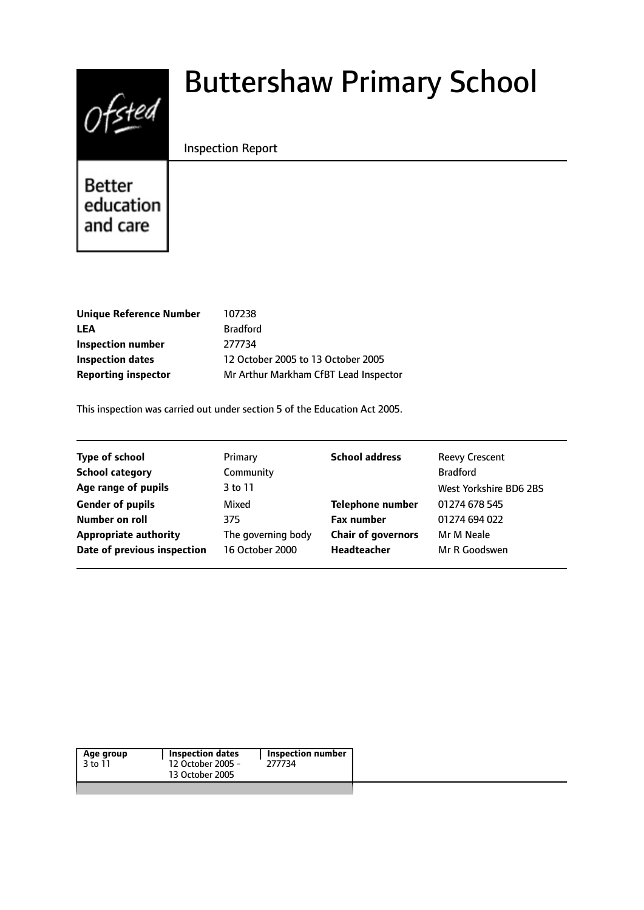

# Buttershaw Primary School

## Inspection Report

Better education and care

| <b>Unique Reference Number</b> | 107238                                |
|--------------------------------|---------------------------------------|
| LEA                            | <b>Bradford</b>                       |
| Inspection number              | 277734                                |
| <b>Inspection dates</b>        | 12 October 2005 to 13 October 2005    |
| <b>Reporting inspector</b>     | Mr Arthur Markham CfBT Lead Inspector |

This inspection was carried out under section 5 of the Education Act 2005.

| <b>Type of school</b>        | Primary            | <b>School address</b>     | <b>Reevy Crescent</b>  |
|------------------------------|--------------------|---------------------------|------------------------|
| <b>School category</b>       | Community          |                           | <b>Bradford</b>        |
| Age range of pupils          | 3 to 11            |                           | West Yorkshire BD6 2BS |
| <b>Gender of pupils</b>      | Mixed              | <b>Telephone number</b>   | 01274 678 545          |
| Number on roll               | 375                | <b>Fax number</b>         | 01274 694 022          |
| <b>Appropriate authority</b> | The governing body | <b>Chair of governors</b> | Mr M Neale             |
| Date of previous inspection  | 16 October 2000    | Headteacher               | Mr R Goodswen          |
|                              |                    |                           |                        |

| Age group | Inspection dates  | Inspection number |
|-----------|-------------------|-------------------|
| 3 to 11   | 12 October 2005 - | 277734            |
|           | 13 October 2005   |                   |
|           |                   |                   |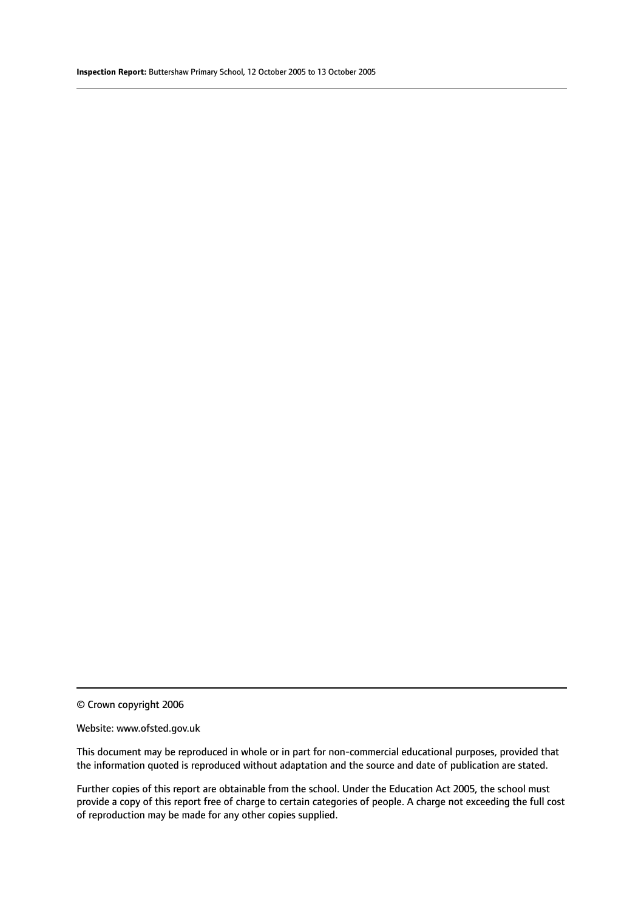© Crown copyright 2006

#### Website: www.ofsted.gov.uk

This document may be reproduced in whole or in part for non-commercial educational purposes, provided that the information quoted is reproduced without adaptation and the source and date of publication are stated.

Further copies of this report are obtainable from the school. Under the Education Act 2005, the school must provide a copy of this report free of charge to certain categories of people. A charge not exceeding the full cost of reproduction may be made for any other copies supplied.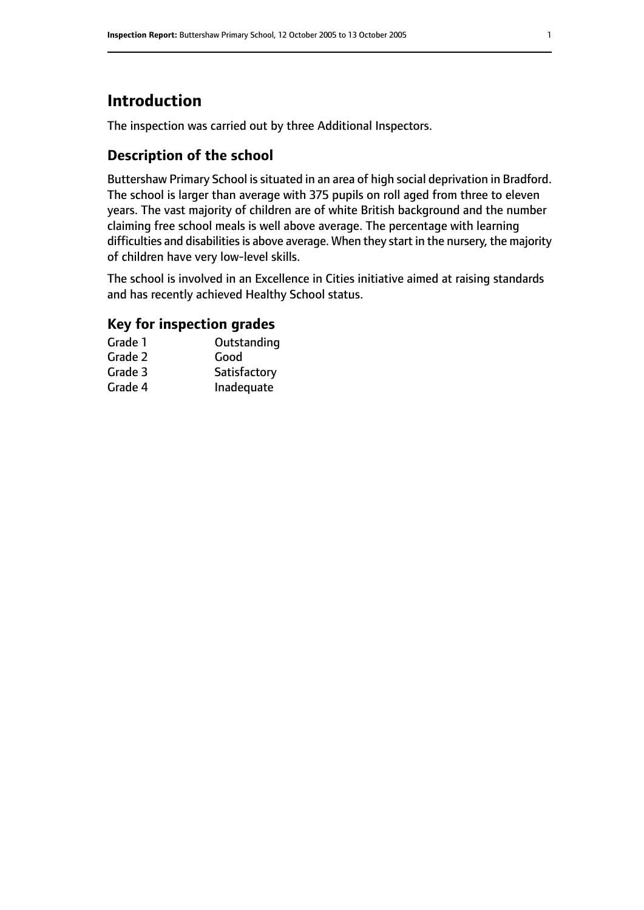# **Introduction**

The inspection was carried out by three Additional Inspectors.

# **Description of the school**

Buttershaw Primary School issituated in an area of high social deprivation in Bradford. The school is larger than average with 375 pupils on roll aged from three to eleven years. The vast majority of children are of white British background and the number claiming free school meals is well above average. The percentage with learning difficulties and disabilities is above average. When they start in the nursery, the majority of children have very low-level skills.

The school is involved in an Excellence in Cities initiative aimed at raising standards and has recently achieved Healthy School status.

# **Key for inspection grades**

| Grade 1 | Outstanding  |
|---------|--------------|
| Grade 2 | Good         |
| Grade 3 | Satisfactory |
| Grade 4 | Inadequate   |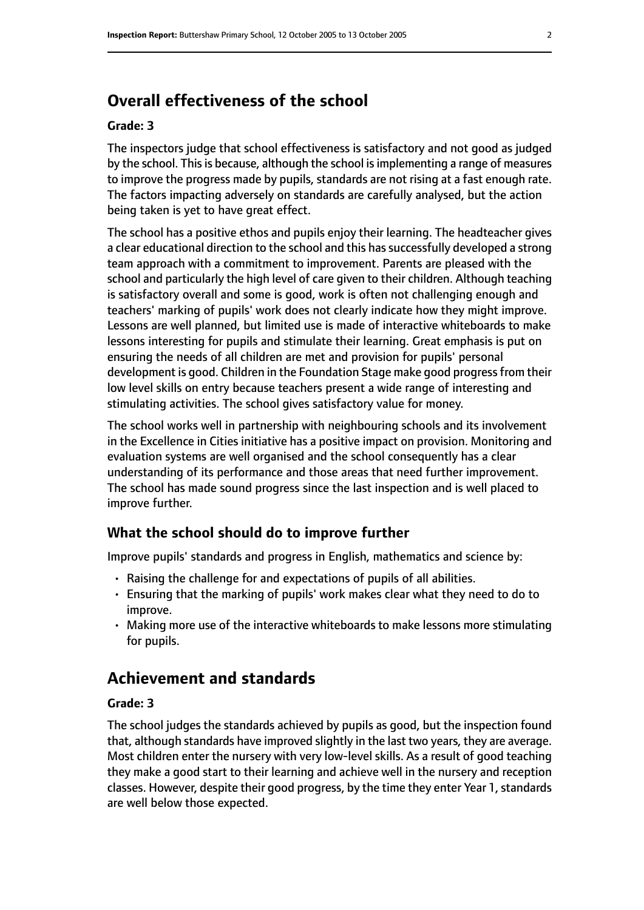# **Overall effectiveness of the school**

#### **Grade: 3**

The inspectors judge that school effectiveness is satisfactory and not good as judged by the school. This is because, although the school is implementing a range of measures to improve the progress made by pupils, standards are not rising at a fast enough rate. The factors impacting adversely on standards are carefully analysed, but the action being taken is yet to have great effect.

The school has a positive ethos and pupils enjoy their learning. The headteacher gives a clear educational direction to the school and this has successfully developed a strong team approach with a commitment to improvement. Parents are pleased with the school and particularly the high level of care given to their children. Although teaching is satisfactory overall and some is good, work is often not challenging enough and teachers' marking of pupils' work does not clearly indicate how they might improve. Lessons are well planned, but limited use is made of interactive whiteboards to make lessons interesting for pupils and stimulate their learning. Great emphasis is put on ensuring the needs of all children are met and provision for pupils' personal development is good. Children in the Foundation Stage make good progress from their low level skills on entry because teachers present a wide range of interesting and stimulating activities. The school gives satisfactory value for money.

The school works well in partnership with neighbouring schools and its involvement in the Excellence in Cities initiative has a positive impact on provision. Monitoring and evaluation systems are well organised and the school consequently has a clear understanding of its performance and those areas that need further improvement. The school has made sound progress since the last inspection and is well placed to improve further.

## **What the school should do to improve further**

Improve pupils' standards and progress in English, mathematics and science by:

- Raising the challenge for and expectations of pupils of all abilities.
- Ensuring that the marking of pupils' work makes clear what they need to do to improve.
- Making more use of the interactive whiteboards to make lessons more stimulating for pupils.

# **Achievement and standards**

#### **Grade: 3**

The school judges the standards achieved by pupils as good, but the inspection found that, although standards have improved slightly in the last two years, they are average. Most children enter the nursery with very low-level skills. As a result of good teaching they make a good start to their learning and achieve well in the nursery and reception classes. However, despite their good progress, by the time they enter Year 1, standards are well below those expected.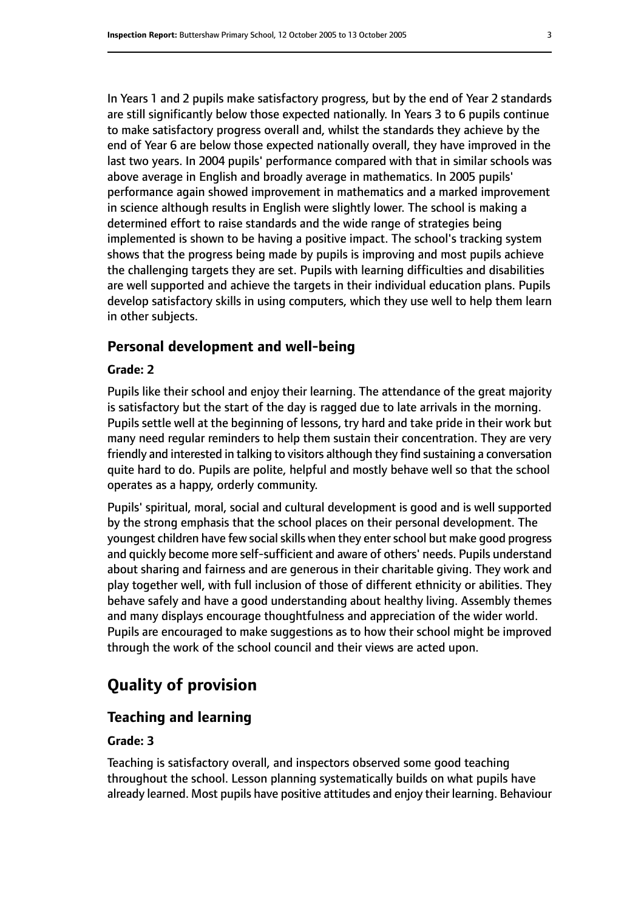In Years 1 and 2 pupils make satisfactory progress, but by the end of Year 2 standards are still significantly below those expected nationally. In Years 3 to 6 pupils continue to make satisfactory progress overall and, whilst the standards they achieve by the end of Year 6 are below those expected nationally overall, they have improved in the last two years. In 2004 pupils' performance compared with that in similar schools was above average in English and broadly average in mathematics. In 2005 pupils' performance again showed improvement in mathematics and a marked improvement in science although results in English were slightly lower. The school is making a determined effort to raise standards and the wide range of strategies being implemented is shown to be having a positive impact. The school's tracking system shows that the progress being made by pupils is improving and most pupils achieve the challenging targets they are set. Pupils with learning difficulties and disabilities are well supported and achieve the targets in their individual education plans. Pupils develop satisfactory skills in using computers, which they use well to help them learn in other subjects.

#### **Personal development and well-being**

#### **Grade: 2**

Pupils like their school and enjoy their learning. The attendance of the great majority is satisfactory but the start of the day is ragged due to late arrivals in the morning. Pupils settle well at the beginning of lessons, try hard and take pride in their work but many need regular reminders to help them sustain their concentration. They are very friendly and interested in talking to visitors although they find sustaining a conversation quite hard to do. Pupils are polite, helpful and mostly behave well so that the school operates as a happy, orderly community.

Pupils' spiritual, moral, social and cultural development is good and is well supported by the strong emphasis that the school places on their personal development. The youngest children have few social skills when they enter school but make good progress and quickly become more self-sufficient and aware of others' needs. Pupils understand about sharing and fairness and are generous in their charitable giving. They work and play together well, with full inclusion of those of different ethnicity or abilities. They behave safely and have a good understanding about healthy living. Assembly themes and many displays encourage thoughtfulness and appreciation of the wider world. Pupils are encouraged to make suggestions as to how their school might be improved through the work of the school council and their views are acted upon.

# **Quality of provision**

### **Teaching and learning**

#### **Grade: 3**

Teaching is satisfactory overall, and inspectors observed some good teaching throughout the school. Lesson planning systematically builds on what pupils have already learned. Most pupils have positive attitudes and enjoy their learning. Behaviour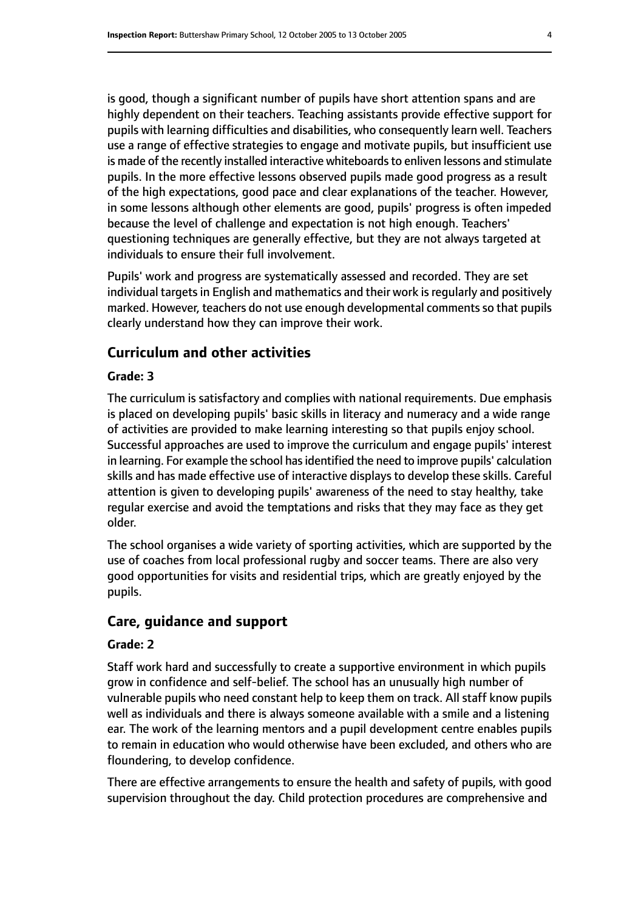is good, though a significant number of pupils have short attention spans and are highly dependent on their teachers. Teaching assistants provide effective support for pupils with learning difficulties and disabilities, who consequently learn well. Teachers use a range of effective strategies to engage and motivate pupils, but insufficient use is made of the recently installed interactive whiteboards to enliven lessons and stimulate pupils. In the more effective lessons observed pupils made good progress as a result of the high expectations, good pace and clear explanations of the teacher. However, in some lessons although other elements are good, pupils' progress is often impeded because the level of challenge and expectation is not high enough. Teachers' questioning techniques are generally effective, but they are not always targeted at individuals to ensure their full involvement.

Pupils' work and progress are systematically assessed and recorded. They are set individual targets in English and mathematics and their work is regularly and positively marked. However, teachers do not use enough developmental comments so that pupils clearly understand how they can improve their work.

## **Curriculum and other activities**

#### **Grade: 3**

The curriculum is satisfactory and complies with national requirements. Due emphasis is placed on developing pupils' basic skills in literacy and numeracy and a wide range of activities are provided to make learning interesting so that pupils enjoy school. Successful approaches are used to improve the curriculum and engage pupils' interest in learning. For example the school has identified the need to improve pupils' calculation skills and has made effective use of interactive displays to develop these skills. Careful attention is given to developing pupils' awareness of the need to stay healthy, take regular exercise and avoid the temptations and risks that they may face as they get older.

The school organises a wide variety of sporting activities, which are supported by the use of coaches from local professional rugby and soccer teams. There are also very good opportunities for visits and residential trips, which are greatly enjoyed by the pupils.

## **Care, guidance and support**

#### **Grade: 2**

Staff work hard and successfully to create a supportive environment in which pupils grow in confidence and self-belief. The school has an unusually high number of vulnerable pupils who need constant help to keep them on track. All staff know pupils well as individuals and there is always someone available with a smile and a listening ear. The work of the learning mentors and a pupil development centre enables pupils to remain in education who would otherwise have been excluded, and others who are floundering, to develop confidence.

There are effective arrangements to ensure the health and safety of pupils, with good supervision throughout the day. Child protection procedures are comprehensive and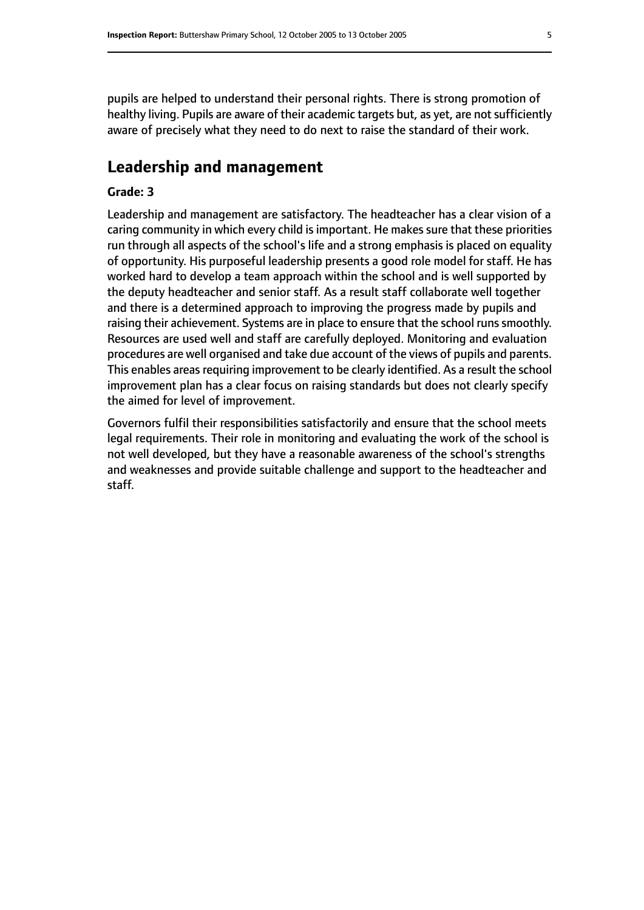pupils are helped to understand their personal rights. There is strong promotion of healthy living. Pupils are aware of their academic targets but, as yet, are not sufficiently aware of precisely what they need to do next to raise the standard of their work.

# **Leadership and management**

#### **Grade: 3**

Leadership and management are satisfactory. The headteacher has a clear vision of a caring community in which every child is important. He makes sure that these priorities run through all aspects of the school's life and a strong emphasis is placed on equality of opportunity. His purposeful leadership presents a good role model for staff. He has worked hard to develop a team approach within the school and is well supported by the deputy headteacher and senior staff. As a result staff collaborate well together and there is a determined approach to improving the progress made by pupils and raising their achievement. Systems are in place to ensure that the school runs smoothly. Resources are used well and staff are carefully deployed. Monitoring and evaluation procedures are well organised and take due account of the views of pupils and parents. This enables areas requiring improvement to be clearly identified. As a result the school improvement plan has a clear focus on raising standards but does not clearly specify the aimed for level of improvement.

Governors fulfil their responsibilities satisfactorily and ensure that the school meets legal requirements. Their role in monitoring and evaluating the work of the school is not well developed, but they have a reasonable awareness of the school's strengths and weaknesses and provide suitable challenge and support to the headteacher and staff.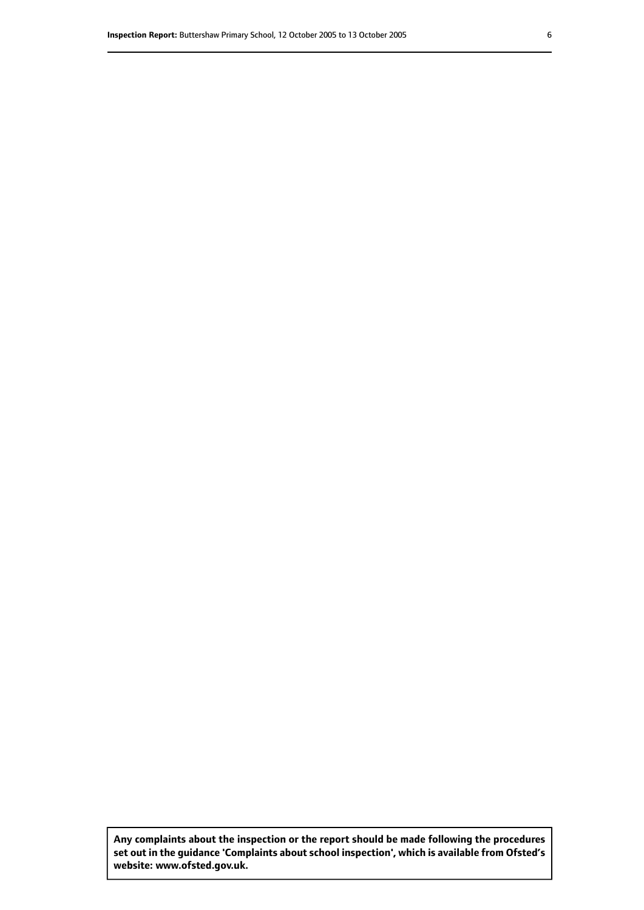**Any complaints about the inspection or the report should be made following the procedures set out inthe guidance 'Complaints about school inspection', whichis available from Ofsted's website: www.ofsted.gov.uk.**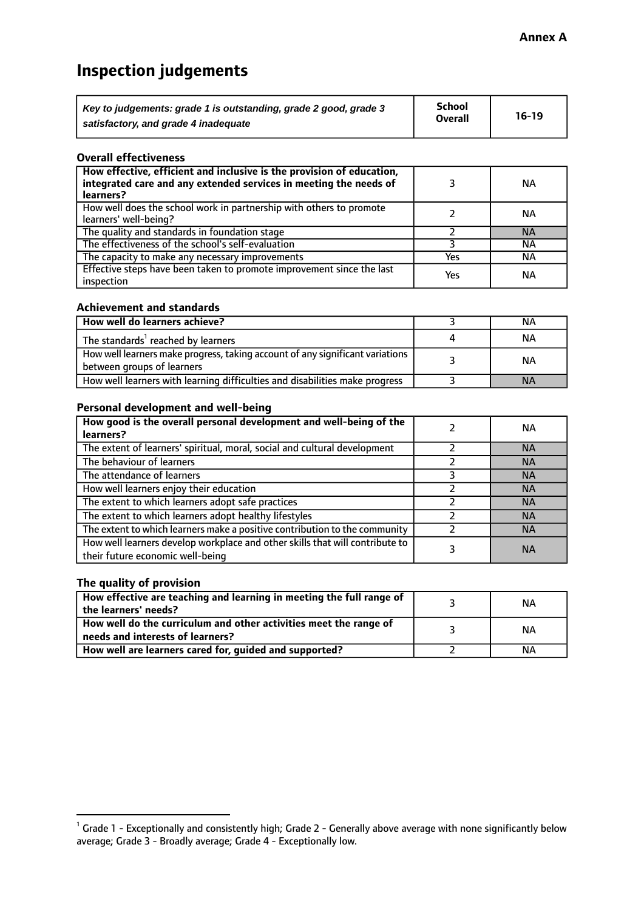# **Inspection judgements**

| Key to judgements: grade 1 is outstanding, grade 2 good, grade 3 | <b>School</b>  | $16-19$ |
|------------------------------------------------------------------|----------------|---------|
| satisfactory, and grade 4 inadequate                             | <b>Overall</b> |         |

#### **Overall effectiveness**

| How effective, efficient and inclusive is the provision of education,<br>integrated care and any extended services in meeting the needs of<br>learners? |     | NА        |
|---------------------------------------------------------------------------------------------------------------------------------------------------------|-----|-----------|
| How well does the school work in partnership with others to promote<br>learners' well-being?                                                            |     | NА        |
| The quality and standards in foundation stage                                                                                                           |     | <b>NA</b> |
| The effectiveness of the school's self-evaluation                                                                                                       |     | NА        |
| The capacity to make any necessary improvements                                                                                                         | Yes | NА        |
| Effective steps have been taken to promote improvement since the last<br>inspection                                                                     | Yes | <b>NA</b> |

#### **Achievement and standards**

| How well do learners achieve?                                                                               | ΝA        |
|-------------------------------------------------------------------------------------------------------------|-----------|
| The standards <sup>1</sup> reached by learners                                                              | NА        |
| How well learners make progress, taking account of any significant variations<br>between groups of learners | <b>NA</b> |
| How well learners with learning difficulties and disabilities make progress                                 | <b>NA</b> |

#### **Personal development and well-being**

| How good is the overall personal development and well-being of the<br>learners?                                  | ΝA        |
|------------------------------------------------------------------------------------------------------------------|-----------|
|                                                                                                                  |           |
| The extent of learners' spiritual, moral, social and cultural development                                        | <b>NA</b> |
| The behaviour of learners                                                                                        | <b>NA</b> |
| The attendance of learners                                                                                       | <b>NA</b> |
| How well learners enjoy their education                                                                          | <b>NA</b> |
| The extent to which learners adopt safe practices                                                                | <b>NA</b> |
| The extent to which learners adopt healthy lifestyles                                                            | <b>NA</b> |
| The extent to which learners make a positive contribution to the community                                       | <b>NA</b> |
| How well learners develop workplace and other skills that will contribute to<br>their future economic well-being | <b>NA</b> |

## **The quality of provision**

| How effective are teaching and learning in meeting the full range of<br>the learners' needs?          | ΝA |
|-------------------------------------------------------------------------------------------------------|----|
| How well do the curriculum and other activities meet the range of<br>needs and interests of learners? | ΝA |
| How well are learners cared for, guided and supported?                                                | NА |

 $^1$  Grade 1 - Exceptionally and consistently high; Grade 2 - Generally above average with none significantly below average; Grade 3 - Broadly average; Grade 4 - Exceptionally low.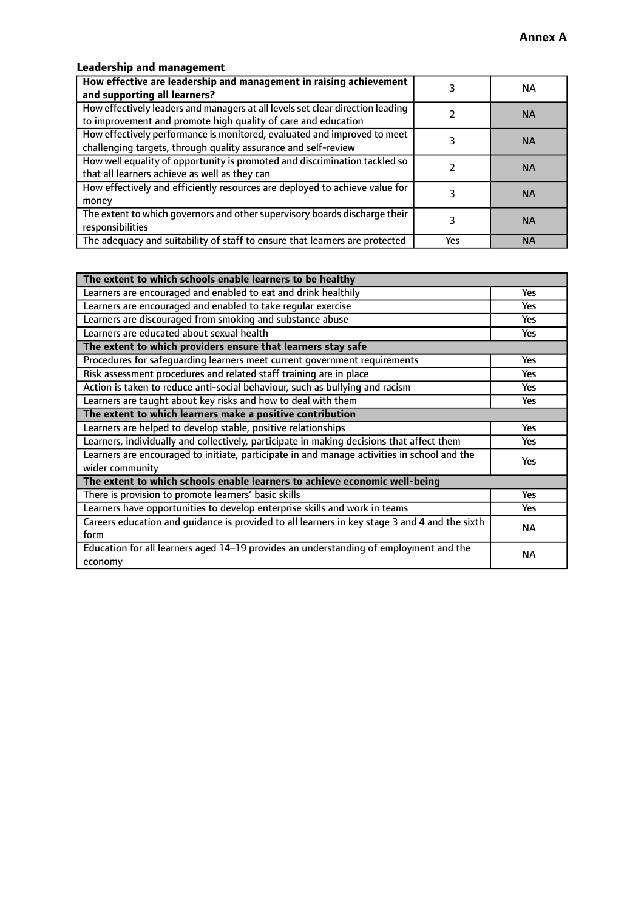# **Leadership and management**

| How effective are leadership and management in raising achievement<br>and supporting all learners?                                              |     | NA.       |
|-------------------------------------------------------------------------------------------------------------------------------------------------|-----|-----------|
| How effectively leaders and managers at all levels set clear direction leading<br>to improvement and promote high quality of care and education |     | <b>NA</b> |
| How effectively performance is monitored, evaluated and improved to meet<br>challenging targets, through quality assurance and self-review      |     | <b>NA</b> |
| How well equality of opportunity is promoted and discrimination tackled so<br>that all learners achieve as well as they can                     |     | <b>NA</b> |
| How effectively and efficiently resources are deployed to achieve value for<br>money                                                            |     | <b>NA</b> |
| The extent to which governors and other supervisory boards discharge their<br>responsibilities                                                  |     | <b>NA</b> |
| The adequacy and suitability of staff to ensure that learners are protected                                                                     | Yes | <b>NA</b> |

| The extent to which schools enable learners to be healthy                                     |            |  |
|-----------------------------------------------------------------------------------------------|------------|--|
| Learners are encouraged and enabled to eat and drink healthily                                | Yes        |  |
| Learners are encouraged and enabled to take regular exercise                                  | Yes        |  |
| Learners are discouraged from smoking and substance abuse                                     | <b>Yes</b> |  |
| Learners are educated about sexual health                                                     | <b>Yes</b> |  |
| The extent to which providers ensure that learners stay safe                                  |            |  |
| Procedures for safequarding learners meet current government requirements                     | Yes        |  |
| Risk assessment procedures and related staff training are in place                            | Yes        |  |
| Action is taken to reduce anti-social behaviour, such as bullying and racism                  | Yes        |  |
| Learners are taught about key risks and how to deal with them                                 |            |  |
| The extent to which learners make a positive contribution                                     |            |  |
| Learners are helped to develop stable, positive relationships                                 | Yes        |  |
| Learners, individually and collectively, participate in making decisions that affect them     |            |  |
| Learners are encouraged to initiate, participate in and manage activities in school and the   |            |  |
| wider community                                                                               | <b>Yes</b> |  |
| The extent to which schools enable learners to achieve economic well-being                    |            |  |
| There is provision to promote learners' basic skills                                          | Yes        |  |
| Learners have opportunities to develop enterprise skills and work in teams                    | <b>Yes</b> |  |
| Careers education and guidance is provided to all learners in key stage 3 and 4 and the sixth | <b>NA</b>  |  |
| form                                                                                          |            |  |
| Education for all learners aged 14-19 provides an understanding of employment and the         | NА         |  |
| economy                                                                                       |            |  |